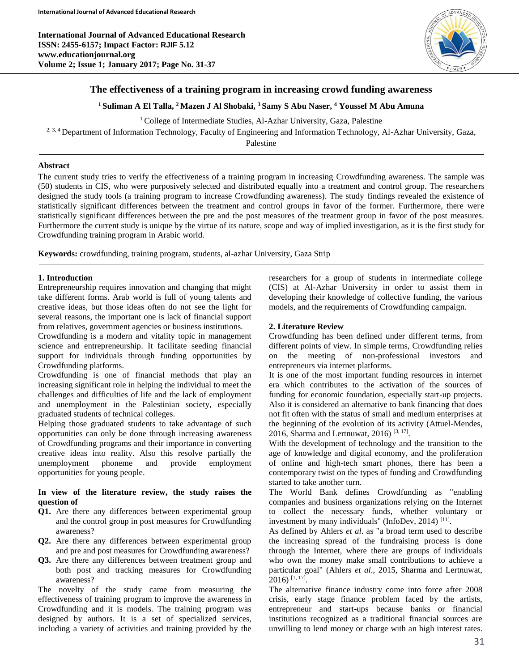

# **The effectiveness of a training program in increasing crowd funding awareness**

### **<sup>1</sup>Suliman A El Talla, <sup>2</sup>Mazen J Al Shobaki, <sup>3</sup>Samy S Abu Naser, <sup>4</sup> Youssef M Abu Amuna**

<sup>1</sup> College of Intermediate Studies, Al-Azhar University, Gaza, Palestine

<sup>2, 3, 4</sup> Department of Information Technology, Faculty of Engineering and Information Technology, Al-Azhar University, Gaza,

Palestine

### **Abstract**

The current study tries to verify the effectiveness of a training program in increasing Crowdfunding awareness. The sample was (50) students in CIS, who were purposively selected and distributed equally into a treatment and control group. The researchers designed the study tools (a training program to increase Crowdfunding awareness). The study findings revealed the existence of statistically significant differences between the treatment and control groups in favor of the former. Furthermore, there were statistically significant differences between the pre and the post measures of the treatment group in favor of the post measures. Furthermore the current study is unique by the virtue of its nature, scope and way of implied investigation, as it is the first study for Crowdfunding training program in Arabic world.

**Keywords:** crowdfunding, training program, students, al-azhar University, Gaza Strip

### **1. Introduction**

Ī

Entrepreneurship requires innovation and changing that might take different forms. Arab world is full of young talents and creative ideas, but those ideas often do not see the light for several reasons, the important one is lack of financial support from relatives, government agencies or business institutions.

Crowdfunding is a modern and vitality topic in management science and entrepreneurship. It facilitate seeding financial support for individuals through funding opportunities by Crowdfunding platforms.

Crowdfunding is one of financial methods that play an increasing significant role in helping the individual to meet the challenges and difficulties of life and the lack of employment and unemployment in the Palestinian society, especially graduated students of technical colleges.

Helping those graduated students to take advantage of such opportunities can only be done through increasing awareness of Crowdfunding programs and their importance in converting creative ideas into reality. Also this resolve partially the unemployment phoneme and provide employment opportunities for young people.

### **In view of the literature review, the study raises the question of**

- **Q1.** Are there any differences between experimental group and the control group in post measures for Crowdfunding awareness?
- **Q2.** Are there any differences between experimental group and pre and post measures for Crowdfunding awareness?
- **Q3.** Are there any differences between treatment group and both post and tracking measures for Crowdfunding awareness?

The novelty of the study came from measuring the effectiveness of training program to improve the awareness in Crowdfunding and it is models. The training program was designed by authors. It is a set of specialized services, including a variety of activities and training provided by the

researchers for a group of students in intermediate college (CIS) at Al-Azhar University in order to assist them in developing their knowledge of collective funding, the various models, and the requirements of Crowdfunding campaign.

### **2. Literature Review**

Crowdfunding has been defined under different terms, from different points of view. In simple terms, Crowdfunding relies on the meeting of non-professional investors and entrepreneurs via internet platforms.

It is one of the most important funding resources in internet era which contributes to the activation of the sources of funding for economic foundation, especially start-up projects. Also it is considered an alternative to bank financing that does not fit often with the status of small and medium enterprises at the beginning of the evolution of its activity (Attuel-Mendes, 2016, Sharma and Lertnuwat, 2016)<sup>[3, 17]</sup>.

With the development of technology and the transition to the age of knowledge and digital economy, and the proliferation of online and high-tech smart phones, there has been a contemporary twist on the types of funding and Crowdfunding started to take another turn.

The World Bank defines Crowdfunding as "enabling companies and business organizations relying on the Internet to collect the necessary funds, whether voluntary or investment by many individuals" (InfoDev, 2014)<sup>[11]</sup>.

As defined by Ahlers *et al*. as "a broad term used to describe the increasing spread of the fundraising process is done through the Internet, where there are groups of individuals who own the money make small contributions to achieve a particular goal" (Ahlers *et al*., 2015, Sharma and Lertnuwat, 2016) [1, 17] .

The alternative finance industry come into force after 2008 crisis, early stage finance problem faced by the artists, entrepreneur and start-ups because banks or financial institutions recognized as a traditional financial sources are unwilling to lend money or charge with an high interest rates.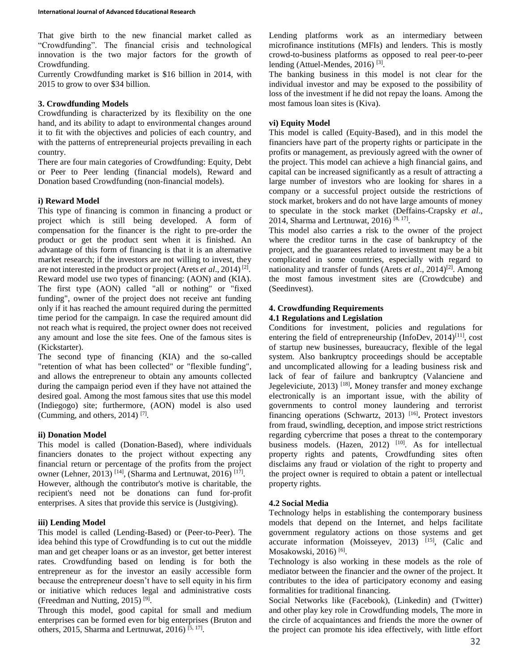That give birth to the new financial market called as "Crowdfunding". The financial crisis and technological innovation is the two major factors for the growth of Crowdfunding.

Currently Crowdfunding market is \$16 billion in 2014, with 2015 to grow to over \$34 billion.

### **3. Crowdfunding Models**

Crowdfunding is characterized by its flexibility on the one hand, and its ability to adapt to environmental changes around it to fit with the objectives and policies of each country, and with the patterns of entrepreneurial projects prevailing in each country.

There are four main categories of Crowdfunding: Equity, Debt or Peer to Peer lending (financial models), Reward and Donation based Crowdfunding (non-financial models).

# **i) Reward Model**

This type of financing is common in financing a product or project which is still being developed. A form of compensation for the financer is the right to pre-order the product or get the product sent when it is finished. An advantage of this form of financing is that it is an alternative market research; if the investors are not willing to invest, they are not interested in the product or project (Arets *et al*., 2014) [2] . Reward model use two types of financing: (AON) and (KIA). The first type (AON) called "all or nothing" or "fixed funding", owner of the project does not receive ant funding only if it has reached the amount required during the permitted time period for the campaign. In case the required amount did not reach what is required, the project owner does not received any amount and lose the site fees. One of the famous sites is (Kickstarter).

The second type of financing (KIA) and the so-called "retention of what has been collected" or "flexible funding", and allows the entrepreneur to obtain any amounts collected during the campaign period even if they have not attained the desired goal. Among the most famous sites that use this model (Indiegogo) site; furthermore, (AON) model is also used (Cumming, and others, 2014) [7] .

# **ii) Donation Model**

This model is called (Donation-Based), where individuals financiers donates to the project without expecting any financial return or percentage of the profits from the project owner (Lehner, 2013)<sup>[14]</sup>, (Sharma and Lertnuwat, 2016)<sup>[17]</sup>. However, although the contributor's motive is charitable, the recipient's need not be donations can fund for-profit enterprises. A sites that provide this service is (Justgiving).

# **iii) Lending Model**

This model is called (Lending-Based) or (Peer-to-Peer). The idea behind this type of Crowdfunding is to cut out the middle man and get cheaper loans or as an investor, get better interest rates. Crowdfunding based on lending is for both the entrepreneur as for the investor an easily accessible form because the entrepreneur doesn't have to sell equity in his firm or initiative which reduces legal and administrative costs (Freedman and Nutting, 2015)<sup>[9]</sup>.

Through this model, good capital for small and medium enterprises can be formed even for big enterprises (Bruton and others, 2015, Sharma and Lertnuwat, 2016)<sup>[5, 17]</sup>.

Lending platforms work as an intermediary between microfinance institutions (MFIs) and lenders. This is mostly crowd-to-business platforms as opposed to real peer-to-peer lending (Attuel-Mendes, 2016)<sup>[3]</sup>.

The banking business in this model is not clear for the individual investor and may be exposed to the possibility of loss of the investment if he did not repay the loans. Among the most famous loan sites is (Kiva).

## **vi) Equity Model**

This model is called (Equity-Based), and in this model the financiers have part of the property rights or participate in the profits or management, as previously agreed with the owner of the project. This model can achieve a high financial gains, and capital can be increased significantly as a result of attracting a large number of investors who are looking for shares in a company or a successful project outside the restrictions of stock market, brokers and do not have large amounts of money to speculate in the stock market (Deffains-Crapsky *et al*., 2014, Sharma and Lertnuwat, 2016)<sup>[8, 17]</sup>.

This model also carries a risk to the owner of the project where the creditor turns in the case of bankruptcy of the project, and the guarantees related to investment may be a bit complicated in some countries, especially with regard to nationality and transfer of funds (Arets *et al.*, 2014)<sup>[2]</sup>. Among the most famous investment sites are (Crowdcube) and (Seedinvest).

# **4. Crowdfunding Requirements**

### **4.1 Regulations and Legislation**

Conditions for investment, policies and regulations for entering the field of entrepreneurship (InfoDev,  $2014$ )<sup>[11]</sup>, cost of startup new businesses, bureaucracy, flexible of the legal system. Also bankruptcy proceedings should be acceptable and uncomplicated allowing for a leading business risk and lack of fear of failure and bankruptcy (Valanciene and Jegeleviciute, 2013) [18] **.** Money transfer and money exchange electronically is an important issue, with the ability of governments to control money laundering and terrorist financing operations (Schwartz, 2013) [16] **.** Protect investors from fraud, swindling, deception, and impose strict restrictions regarding cybercrime that poses a threat to the contemporary business models. (Hazen, 2012) <sup>[10]</sup>. As for intellectual property rights and patents, Crowdfunding sites often disclaims any fraud or violation of the right to property and the project owner is required to obtain a patent or intellectual property rights.

# **4.2 Social Media**

Technology helps in establishing the contemporary business models that depend on the Internet, and helps facilitate government regulatory actions on those systems and get accurate information (Moisseyev, 2013)  $[15]$ , (Calic and Mosakowski, 2016)<sup>[6]</sup>.

Technology is also working in these models as the role of mediator between the financier and the owner of the project. It contributes to the idea of participatory economy and easing formalities for traditional financing.

Social Networks like (Facebook), (Linkedin) and (Twitter) and other play key role in Crowdfunding models, The more in the circle of acquaintances and friends the more the owner of the project can promote his idea effectively, with little effort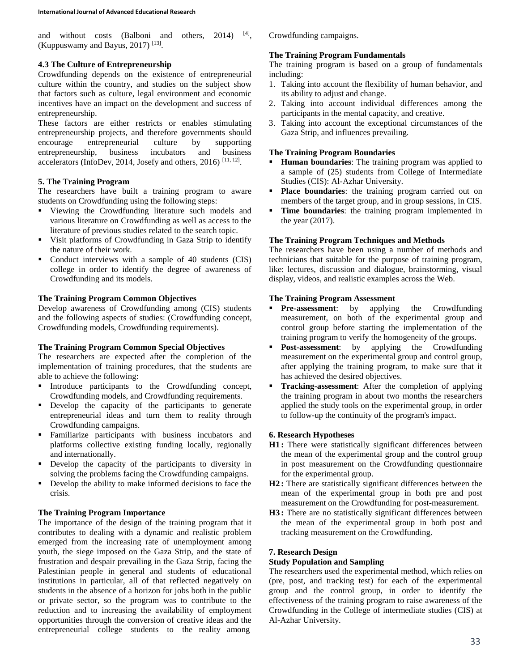and without costs (Balboni and others, 2014)  $[4]$ . (Kuppuswamy and Bayus, 2017)<sup>[13]</sup>.

## **4.3 The Culture of Entrepreneurship**

Crowdfunding depends on the existence of entrepreneurial culture within the country, and studies on the subject show that factors such as culture, legal environment and economic incentives have an impact on the development and success of entrepreneurship.

These factors are either restricts or enables stimulating entrepreneurship projects, and therefore governments should encourage entrepreneurial culture by supporting entrepreneurship, business incubators and business accelerators (InfoDev, 2014, Josefy and others, 2016)  $^{[11, 12]}$ .

### **5. The Training Program**

The researchers have built a training program to aware students on Crowdfunding using the following steps:

- Viewing the Crowdfunding literature such models and various literature on Crowdfunding as well as access to the literature of previous studies related to the search topic.
- Visit platforms of Crowdfunding in Gaza Strip to identify the nature of their work.
- Conduct interviews with a sample of 40 students (CIS) college in order to identify the degree of awareness of Crowdfunding and its models.

# **The Training Program Common Objectives**

Develop awareness of Crowdfunding among (CIS) students and the following aspects of studies: (Crowdfunding concept, Crowdfunding models, Crowdfunding requirements).

### **The Training Program Common Special Objectives**

The researchers are expected after the completion of the implementation of training procedures, that the students are able to achieve the following:

- **Introduce participants to the Crowdfunding concept,** Crowdfunding models, and Crowdfunding requirements.
- Develop the capacity of the participants to generate entrepreneurial ideas and turn them to reality through Crowdfunding campaigns.
- Familiarize participants with business incubators and platforms collective existing funding locally, regionally and internationally.
- Develop the capacity of the participants to diversity in solving the problems facing the Crowdfunding campaigns.
- Develop the ability to make informed decisions to face the crisis.

### **The Training Program Importance**

The importance of the design of the training program that it contributes to dealing with a dynamic and realistic problem emerged from the increasing rate of unemployment among youth, the siege imposed on the Gaza Strip, and the state of frustration and despair prevailing in the Gaza Strip, facing the Palestinian people in general and students of educational institutions in particular, all of that reflected negatively on students in the absence of a horizon for jobs both in the public or private sector, so the program was to contribute to the reduction and to increasing the availability of employment opportunities through the conversion of creative ideas and the entrepreneurial college students to the reality among

Crowdfunding campaigns.

# **The Training Program Fundamentals**

The training program is based on a group of fundamentals including:

- 1. Taking into account the flexibility of human behavior, and its ability to adjust and change.
- 2. Taking into account individual differences among the participants in the mental capacity, and creative.
- 3. Taking into account the exceptional circumstances of the Gaza Strip, and influences prevailing.

### **The Training Program Boundaries**

- **Human boundaries**: The training program was applied to a sample of (25) students from College of Intermediate Studies (CIS): Al-Azhar University.
- **Place boundaries**: the training program carried out on members of the target group, and in group sessions, in CIS.
- **Time boundaries**: the training program implemented in the year (2017).

# **The Training Program Techniques and Methods**

The researchers have been using a number of methods and technicians that suitable for the purpose of training program, like: lectures, discussion and dialogue, brainstorming, visual display, videos, and realistic examples across the Web.

## **The Training Program Assessment**

- **Pre-assessment**: by applying the Crowdfunding measurement, on both of the experimental group and control group before starting the implementation of the training program to verify the homogeneity of the groups.
- **Post-assessment**: by applying the Crowdfunding measurement on the experimental group and control group, after applying the training program, to make sure that it has achieved the desired objectives.
- **Tracking-assessment**: After the completion of applying the training program in about two months the researchers applied the study tools on the experimental group, in order to follow-up the continuity of the program's impact.

### **6. Research Hypotheses**

- **H1 :** There were statistically significant differences between the mean of the experimental group and the control group in post measurement on the Crowdfunding questionnaire for the experimental group.
- **H2 :** There are statistically significant differences between the mean of the experimental group in both pre and post measurement on the Crowdfunding for post-measurement.
- **H3 :** There are no statistically significant differences between the mean of the experimental group in both post and tracking measurement on the Crowdfunding.

### **7. Research Design**

### **Study Population and Sampling**

The researchers used the experimental method, which relies on (pre, post, and tracking test) for each of the experimental group and the control group, in order to identify the effectiveness of the training program to raise awareness of the Crowdfunding in the College of intermediate studies (CIS) at Al-Azhar University.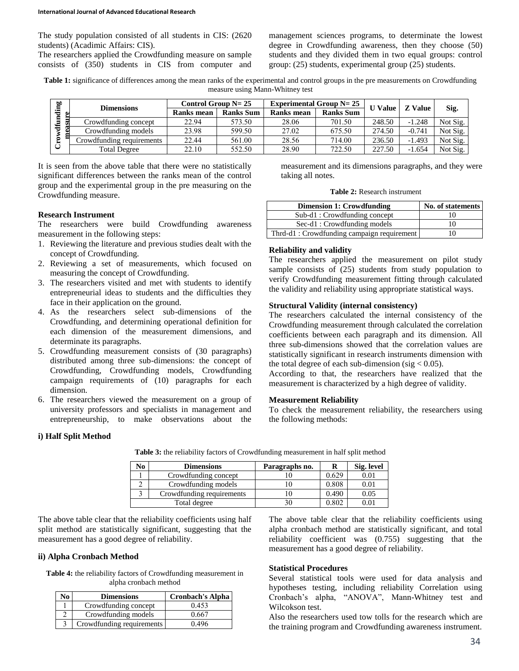The study population consisted of all students in CIS: (2620 students) (Acadimic Affairs: CIS).

The researchers applied the Crowdfunding measure on sample consists of (350) students in CIS from computer and management sciences programs, to determinate the lowest degree in Crowdfunding awareness, then they choose (50) students and they divided them in two equal groups: control group: (25) students, experimental group (25) students.

**Table 1:** significance of differences among the mean ranks of the experimental and control groups in the pre measurements on Crowdfunding measure using Mann-Whitney test

| bņ<br>CD.<br>° | <b>Dimensions</b>         | Control Group $N = 25$ |                  | Experimental Group $N = 25$ | <b>U</b> Value   | <b>Z</b> Value |          |          |
|----------------|---------------------------|------------------------|------------------|-----------------------------|------------------|----------------|----------|----------|
|                |                           | Ranks mean             | <b>Ranks Sum</b> | Ranks mean                  | <b>Ranks Sum</b> |                |          | Sig.     |
|                | Crowdfunding concept      | 22.94                  | 573.50           | 28.06                       | 701.50           | 248.50         | $-1.248$ | Not Sig. |
| €              | Crowdfunding models       | 23.98                  | 599.50           | 27.02                       | 675.50           | 274.50         | $-0.741$ | Not Sig. |
|                | Crowdfunding requirements | 22.44                  | 561.00           | 28.56                       | 714.00           | 236.50         | $-1.493$ | Not Sig. |
|                | <b>Total Degree</b>       | 22.10                  | 552.50           | 28.90                       | 722.50           | 227.50         | $-1.654$ | Not Sig. |

It is seen from the above table that there were no statistically significant differences between the ranks mean of the control group and the experimental group in the pre measuring on the Crowdfunding measure.

### **Research Instrument**

The researchers were build Crowdfunding awareness measurement in the following steps:

- 1. Reviewing the literature and previous studies dealt with the concept of Crowdfunding.
- 2. Reviewing a set of measurements, which focused on measuring the concept of Crowdfunding.
- 3. The researchers visited and met with students to identify entrepreneurial ideas to students and the difficulties they face in their application on the ground.
- 4. As the researchers select sub-dimensions of the Crowdfunding, and determining operational definition for each dimension of the measurement dimensions, and determinate its paragraphs.
- 5. Crowdfunding measurement consists of (30 paragraphs) distributed among three sub-dimensions: the concept of Crowdfunding, Crowdfunding models, Crowdfunding campaign requirements of (10) paragraphs for each dimension.
- 6. The researchers viewed the measurement on a group of university professors and specialists in management and entrepreneurship, to make observations about the

measurement and its dimensions paragraphs, and they were taking all notes.

| <b>Table 2:</b> Research instrument |
|-------------------------------------|
|                                     |

| <b>Dimension 1: Crowdfunding</b>           | No. of statements |
|--------------------------------------------|-------------------|
| Sub-d1: Crowdfunding concept               | 10                |
| Sec-d1: Crowdfunding models                | 10                |
| Thrd-d1: Crowdfunding campaign requirement | 10                |

### **Reliability and validity**

The researchers applied the measurement on pilot study sample consists of (25) students from study population to verify Crowdfunding measurement fitting through calculated the validity and reliability using appropriate statistical ways.

### **Structural Validity (internal consistency)**

The researchers calculated the internal consistency of the Crowdfunding measurement through calculated the correlation coefficients between each paragraph and its dimension. All three sub-dimensions showed that the correlation values are statistically significant in research instruments dimension with the total degree of each sub-dimension (sig  $< 0.05$ ).

According to that, the researchers have realized that the measurement is characterized by a high degree of validity.

#### **Measurement Reliability**

To check the measurement reliability, the researchers using the following methods:

#### **i) Half Split Method**

| No | <b>Dimensions</b>         | Paragraphs no. |       | Sig. level |
|----|---------------------------|----------------|-------|------------|
|    | Crowdfunding concept      |                | 0.629 | 0.01       |
|    | Crowdfunding models       |                | 0.808 | 0.01       |
|    | Crowdfunding requirements |                | 0.490 | 0.05       |
|    | Total degree              |                | 0.802 | $\rm 0.01$ |

**Table 3:** the reliability factors of Crowdfunding measurement in half split method

The above table clear that the reliability coefficients using half split method are statistically significant, suggesting that the measurement has a good degree of reliability.

### **ii) Alpha Cronbach Method**

**Table 4:** the reliability factors of Crowdfunding measurement in alpha cronbach method

| Ńо | <b>Dimensions</b>         | <b>Cronbach's Alpha</b> |
|----|---------------------------|-------------------------|
|    | Crowdfunding concept      | 0.453                   |
|    | Crowdfunding models       | 0.667                   |
|    | Crowdfunding requirements | 0.496                   |

The above table clear that the reliability coefficients using alpha cronbach method are statistically significant, and total reliability coefficient was (0.755) suggesting that the measurement has a good degree of reliability.

# **Statistical Procedures**

Several statistical tools were used for data analysis and hypotheses testing, including reliability Correlation using Cronbach's alpha, "ANOVA", Mann-Whitney test and Wilcokson test.

Also the researchers used tow tolls for the research which are the training program and Crowdfunding awareness instrument.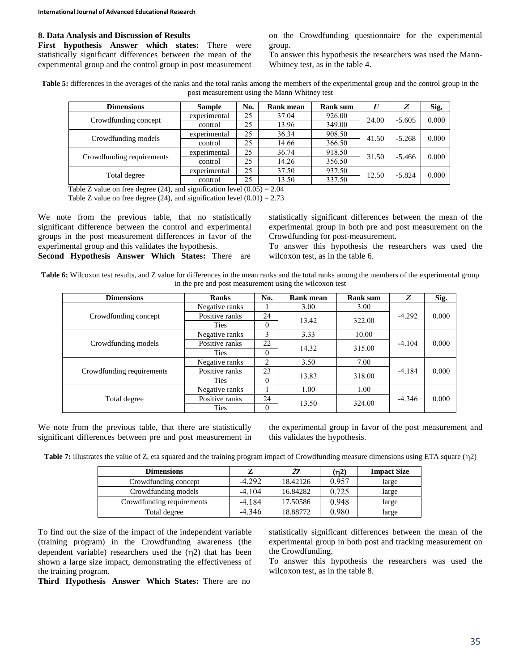#### **8. Data Analysis and Discussion of Results**

**First hypothesis Answer which states:** There were statistically significant differences between the mean of the experimental group and the control group in post measurement on the Crowdfunding questionnaire for the experimental group.

To answer this hypothesis the researchers was used the Mann-Whitney test, as in the table 4.

**Table 5:** differences in the averages of the ranks and the total ranks among the members of the experimental group and the control group in the post measurement using the Mann Whitney test

| <b>Dimensions</b>         | <b>Sample</b>                    | No. | <b>Rank mean</b> | <b>Rank sum</b> | $\boldsymbol{U}$ | Z        | Sig,  |
|---------------------------|----------------------------------|-----|------------------|-----------------|------------------|----------|-------|
| Crowdfunding concept      | experimental                     | 25  | 37.04            | 926.00          | 24.00            | $-5.605$ | 0.000 |
|                           | control                          | 25  | 13.96            | 349.00          |                  |          |       |
|                           | experimental                     | 25  | 36.34            | 908.50          | 41.50            | $-5.268$ | 0.000 |
| Crowdfunding models       | control                          | 25  | 14.66            | 366.50          |                  |          |       |
| Crowdfunding requirements | experimental                     | 25  | 36.74            | 918.50          | 31.50            |          | 0.000 |
|                           | 356.50<br>25<br>14.26<br>control |     |                  | $-5.466$        |                  |          |       |
|                           | experimental                     | 25  | 37.50            | 937.50          | 12.50            | $-5.824$ | 0.000 |
| Total degree              | control                          | 25  | 13.50            | 337.50          |                  |          |       |

Table Z value on free degree (24), and signification level  $(0.05) = 2.04$ 

Table Z value on free degree (24), and signification level  $(0.01) = 2.73$ 

We note from the previous table, that no statistically significant difference between the control and experimental groups in the post measurement differences in favor of the experimental group and this validates the hypothesis.

**Second Hypothesis Answer Which States:** There are

statistically significant differences between the mean of the experimental group in both pre and post measurement on the Crowdfunding for post-measurement.

To answer this hypothesis the researchers was used the wilcoxon test, as in the table 6.

Table 6: Wilcoxon test results, and Z value for differences in the mean ranks and the total ranks among the members of the experimental group in the pre and post measurement using the wilcoxon test

| <b>Dimensions</b>         | <b>Ranks</b>   | No.      | Rank mean | <b>Rank sum</b> | Z                                            | Sig.  |
|---------------------------|----------------|----------|-----------|-----------------|----------------------------------------------|-------|
|                           | Negative ranks |          | 3.00      | 3.00            | $-4.292$<br>$-4.104$<br>$-4.184$<br>$-4.346$ | 0.000 |
| Crowdfunding concept      | Positive ranks | 24       | 13.42     | 322.00          |                                              |       |
|                           | <b>Ties</b>    | $\theta$ |           |                 |                                              |       |
|                           | Negative ranks | 3        | 3.33      | 10.00           |                                              |       |
| Crowdfunding models       | Positive ranks | 22       | 14.32     | 315.00          |                                              | 0.000 |
|                           | <b>Ties</b>    | $\theta$ |           |                 |                                              |       |
|                           | Negative ranks | 2        | 3.50      | 7.00            |                                              | 0.000 |
| Crowdfunding requirements | Positive ranks | 23       | 13.83     | 318.00          |                                              |       |
|                           | <b>Ties</b>    | $\theta$ |           |                 |                                              |       |
|                           | Negative ranks |          | 1.00      | 1.00            |                                              | 0.000 |
| Total degree              | Positive ranks | 24       | 13.50     | 324.00          |                                              |       |
|                           | Ties           | $\Omega$ |           |                 |                                              |       |

We note from the previous table, that there are statistically significant differences between pre and post measurement in the experimental group in favor of the post measurement and this validates the hypothesis.

**Table 7:** illustrates the value of Z, eta squared and the training program impact of Crowdfunding measure dimensions using ETA square ( $\eta$ 2)

| <b>Dimensions</b>         |          | 27.      | (n2)  | <b>Impact Size</b> |
|---------------------------|----------|----------|-------|--------------------|
| Crowdfunding concept      | $-4.292$ | 18.42126 | 0.957 | large              |
| Crowdfunding models       | $-4.104$ | 16.84282 | 0.725 | large              |
| Crowdfunding requirements | $-4.184$ | 17.50586 | 0.948 | large              |
| Total degree              | $-4.346$ | 18.88772 | 0.980 | large              |

To find out the size of the impact of the independent variable (training program) in the Crowdfunding awareness (the dependent variable) researchers used the  $(n2)$  that has been shown a large size impact, demonstrating the effectiveness of the training program.

**Third Hypothesis Answer Which States:** There are no

statistically significant differences between the mean of the experimental group in both post and tracking measurement on the Crowdfunding.

To answer this hypothesis the researchers was used the wilcoxon test, as in the table 8.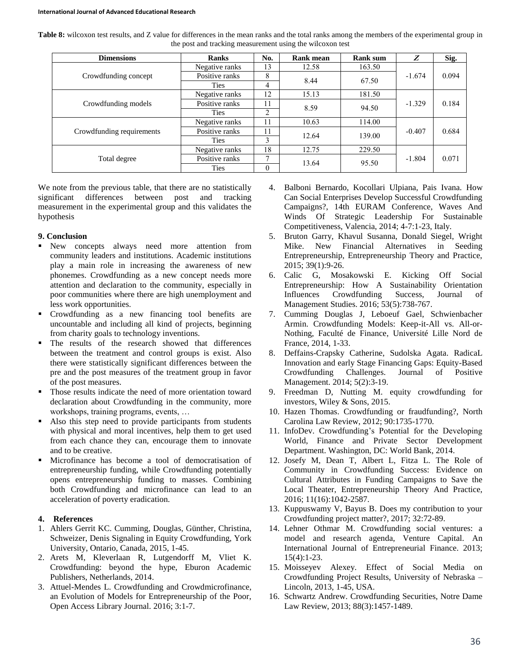| Table 8: wilcoxon test results, and Z value for differences in the mean ranks and the total ranks among the members of the experimental group in |  |
|--------------------------------------------------------------------------------------------------------------------------------------------------|--|
| the post and tracking measurement using the wilcoxon test                                                                                        |  |

| <b>Dimensions</b>         | <b>Ranks</b>   | No.          | Rank mean | <b>Rank sum</b> | Z                                                          | Sig.  |
|---------------------------|----------------|--------------|-----------|-----------------|------------------------------------------------------------|-------|
|                           | Negative ranks | 3            | 12.58     | 163.50          |                                                            | 0.094 |
| Crowdfunding concept      | Positive ranks | 8            | 8.44      |                 | $-1.674$<br>67.50<br>181.50<br>$-1.329$<br>94.50<br>114.00 |       |
|                           | <b>Ties</b>    | 4            |           |                 |                                                            |       |
|                           | Negative ranks | 12           | 15.13     |                 |                                                            | 0.184 |
| Crowdfunding models       | Positive ranks | 11           |           |                 |                                                            |       |
|                           | <b>Ties</b>    | 2            | 8.59      |                 |                                                            |       |
|                           | Negative ranks | 11           | 10.63     |                 | $-0.407$                                                   | 0.684 |
| Crowdfunding requirements | Positive ranks | 11           | 12.64     | 139.00          |                                                            |       |
|                           | <b>Ties</b>    | 3            |           |                 |                                                            |       |
|                           | Negative ranks | 18           | 12.75     | 229.50          |                                                            |       |
| Total degree              | Positive ranks | $\mathbf{r}$ | 13.64     | 95.50           | $-1.804$                                                   | 0.071 |
|                           | <b>Ties</b>    | $\Omega$     |           |                 |                                                            |       |

We note from the previous table, that there are no statistically significant differences between post and tracking measurement in the experimental group and this validates the hypothesis

### **9. Conclusion**

- New concepts always need more attention from community leaders and institutions. Academic institutions play a main role in increasing the awareness of new phonemes. Crowdfunding as a new concept needs more attention and declaration to the community, especially in poor communities where there are high unemployment and less work opportunities.
- Crowdfunding as a new financing tool benefits are uncountable and including all kind of projects, beginning from charity goals to technology inventions.
- **The results of the research showed that differences** between the treatment and control groups is exist. Also there were statistically significant differences between the pre and the post measures of the treatment group in favor of the post measures.
- Those results indicate the need of more orientation toward declaration about Crowdfunding in the community, more workshops, training programs, events, …
- Also this step need to provide participants from students with physical and moral incentives, help them to get used from each chance they can, encourage them to innovate and to be creative.
- Microfinance has become a tool of democratisation of entrepreneurship funding, while Crowdfunding potentially opens entrepreneurship funding to masses. Combining both Crowdfunding and microfinance can lead to an acceleration of poverty eradication.

### **4. References**

- 1. Ahlers Gerrit KC. Cumming, Douglas, Günther, Christina, Schweizer, Denis Signaling in Equity Crowdfunding, York University, Ontario, Canada, 2015, 1-45.
- 2. Arets M, Kleverlaan R, Lutgendorff M, Vliet K. Crowdfunding: beyond the hype, Eburon Academic Publishers, Netherlands, 2014.
- 3. Attuel-Mendes L. Crowdfunding and Crowdmicrofinance, an Evolution of Models for Entrepreneurship of the Poor, Open Access Library Journal. 2016; 3:1-7.
- 4. Balboni Bernardo, Kocollari Ulpiana, Pais Ivana. How Can Social Enterprises Develop Successful Crowdfunding Campaigns?, 14th EURAM Conference, Waves And Winds Of Strategic Leadership For Sustainable Competitiveness, Valencia, 2014; 4-7:1-23, Italy.
- 5. Bruton Garry, Khavul Susanna, Donald Siegel, Wright Mike. New Financial Alternatives in Seeding Entrepreneurship, Entrepreneurship Theory and Practice, 2015; 39(1):9-26.
- 6. Calic G, Mosakowski E. Kicking Off Social Entrepreneurship: How A Sustainability Orientation Influences Crowdfunding Success, Journal of Management Studies. 2016; 53(5):738-767.
- 7. Cumming Douglas J, Leboeuf Gael, Schwienbacher Armin. Crowdfunding Models: Keep-it-All vs. All-or-Nothing, Faculté de Finance, Université Lille Nord de France, 2014, 1-33.
- 8. Deffains-Crapsky Catherine, Sudolska Agata. RadicaL Innovation and early Stage Financing Gaps: Equity-Based<br>Crowdfunding Challenges. Journal of Positive Crowdfunding Challenges. Journal of Positive Management. 2014; 5(2):3-19.
- 9. Freedman D, Nutting M. equity crowdfunding for investors, Wiley & Sons, 2015.
- 10. Hazen Thomas. Crowdfunding or fraudfunding?, North Carolina Law Review, 2012; 90:1735-1770.
- 11. InfoDev. Crowdfunding's Potential for the Developing World, Finance and Private Sector Development Department. Washington, DC: World Bank, 2014.
- 12. Josefy M, Dean T, Albert L, Fitza L. The Role of Community in Crowdfunding Success: Evidence on Cultural Attributes in Funding Campaigns to Save the Local Theater, Entrepreneurship Theory And Practice, 2016; 11(16):1042-2587.
- 13. Kuppuswamy V, Bayus B. Does my contribution to your Crowdfunding project matter?, 2017; 32:72-89.
- 14. Lehner Othmar M. Crowdfunding social ventures: a model and research agenda, Venture Capital. An International Journal of Entrepreneurial Finance. 2013; 15(4):1-23.
- 15. Moisseyev Alexey. Effect of Social Media on Crowdfunding Project Results, University of Nebraska – Lincoln, 2013, 1-45, USA.
- 16. Schwartz Andrew. Crowdfunding Securities, Notre Dame Law Review, 2013; 88(3):1457-1489.